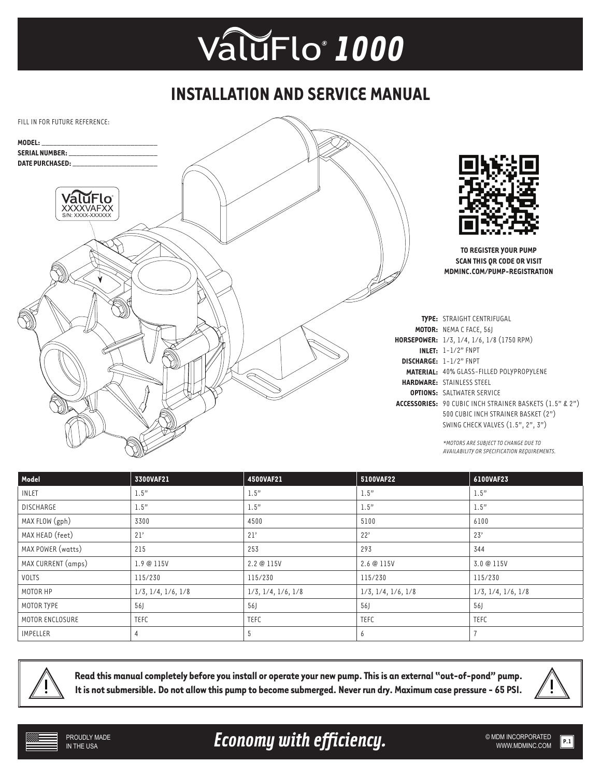## *®* ValuFlo *1000*

## **INSTALLATION AND SERVICE MANUAL**



| Model              | 3300VAF21                     | 4500VAF21                     | 5100VAF22                     | 6100VAF23                     |
|--------------------|-------------------------------|-------------------------------|-------------------------------|-------------------------------|
| <b>INLET</b>       | 1.5"                          | 1.5"                          | 1.5"                          | 1.5"                          |
| <b>DISCHARGE</b>   | 1.5"                          | 1.5"                          | 1.5"                          | 1.5"                          |
| MAX FLOW (gph)     | 3300                          | 4500                          | 5100                          | 6100                          |
| MAX HEAD (feet)    | 21'                           | 21'                           | 22'                           | 23'                           |
| MAX POWER (watts)  | 215                           | 253                           | 293                           | 344                           |
| MAX CURRENT (amps) | 1.9@115V                      | 2.2 @ 115V                    | 2.6 @ 115V                    | 3.0 @ 115V                    |
| VOLTS              | 115/230                       | 115/230                       | 115/230                       | 115/230                       |
| MOTOR HP           | $1/3$ , $1/4$ , $1/6$ , $1/8$ | $1/3$ , $1/4$ , $1/6$ , $1/8$ | $1/3$ , $1/4$ , $1/6$ , $1/8$ | $1/3$ , $1/4$ , $1/6$ , $1/8$ |
| MOTOR TYPE         | 56J                           | 56                            | 56                            | 56J                           |
| MOTOR ENCLOSURE    | <b>TEFC</b>                   | TEFC                          | TEFC                          | <b>TEFC</b>                   |
| <b>IMPELLER</b>    |                               | 5                             | b                             |                               |



**Read this manual completely before you install or operate your new pump. This is an external "out-of-pond" pump. It is not submersible. Do not allow this pump to become submerged. Never run dry. Maximum case pressure - 65 PSI.**



Economy with efficiency. **Example 2018 WELL ASSESS** SMON INCORPORATED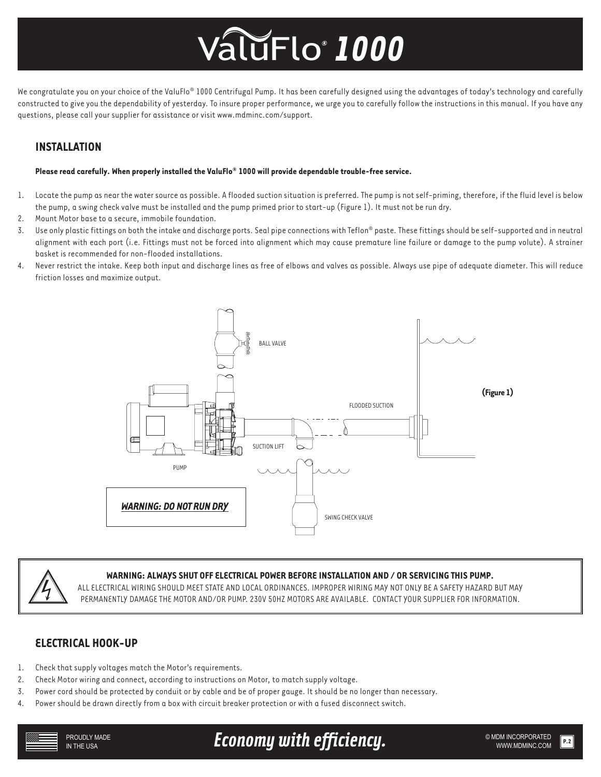# *®* ValuFlo *1000*

We congratulate you on your choice of the ValuFlo® 1000 Centrifugal Pump. It has been carefully designed using the advantages of today's technology and carefully constructed to give you the dependability of yesterday. To insure proper performance, we urge you to carefully follow the instructions in this manual. If you have any questions, please call your supplier for assistance or visit www.mdminc.com/support.

### **INSTALLATION**

#### **Please read carefully. When properly installed the ValuFlo® 1000 will provide dependable trouble-free service.**

- 1. Locate the pump as near the water source as possible. A flooded suction situation is preferred. The pump is not self-priming, therefore, if the fluid level is below the pump, a swing check valve must be installed and the pump primed prior to start-up (Figure 1). It must not be run dry.
- 2. Mount Motor base to a secure, immobile foundation.
- 3. Use only plastic fittings on both the intake and discharge ports. Seal pipe connections with Teflon® paste. These fittings should be self-supported and in neutral alignment with each port (i.e. Fittings must not be forced into alignment which may cause premature line failure or damage to the pump volute). A strainer basket is recommended for non-flooded installations.
- 4. Never restrict the intake. Keep both input and discharge lines as free of elbows and valves as possible. Always use pipe of adequate diameter. This will reduce friction losses and maximize output.





#### **WARNING: ALWAYS SHUT OFF ELECTRICAL POWER BEFORE INSTALLATION AND / OR SERVICING THIS PUMP.**

ALL ELECTRICAL WIRING SHOULD MEET STATE AND LOCAL ORDINANCES. IMPROPER WIRING MAY NOT ONLY BE A SAFETY HAZARD BUT MAY PERMANENTLY DAMAGE THE MOTOR AND/OR PUMP. 230V 50HZ MOTORS ARE AVAILABLE. CONTACT YOUR SUPPLIER FOR INFORMATION.

### **ELECTRICAL HOOK-UP**

- 1. Check that supply voltages match the Motor's requirements.
- 2. Check Motor wiring and connect, according to instructions on Motor, to match supply voltage.
- 3. Power cord should be protected by conduit or by cable and be of proper gauge. It should be no longer than necessary.
- 4. Power should be drawn directly from a box with circuit breaker protection or with a fused disconnect switch.

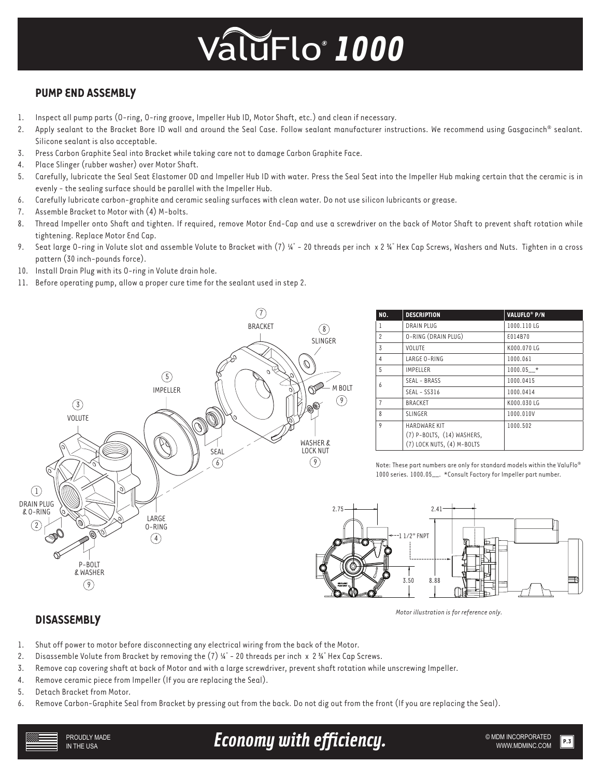# *®* ValuFlo *1000*

### **PUMP END ASSEMBLY**

- 1. Inspect all pump parts (O-ring, O-ring groove, Impeller Hub ID, Motor Shaft, etc.) and clean if necessary.
- 2. Apply sealant to the Bracket Bore ID wall and around the Seal Case. Follow sealant manufacturer instructions. We recommend using Gasgacinch® sealant. Silicone sealant is also acceptable.
- 3. Press Carbon Graphite Seal into Bracket while taking care not to damage Carbon Graphite Face.
- 4. Place Slinger (rubber washer) over Motor Shaft.
- 5. Carefully, lubricate the Seal Seat Elastomer OD and Impeller Hub ID with water. Press the Seal Seat into the Impeller Hub making certain that the ceramic is in evenly - the sealing surface should be parallel with the Impeller Hub.
- 6. Carefully lubricate carbon-graphite and ceramic sealing surfaces with clean water. Do not use silicon lubricants or grease.
- 7. Assemble Bracket to Motor with (4) M-bolts.
- 8. Thread Impeller onto Shaft and tighten. If required, remove Motor End-Cap and use a screwdriver on the back of Motor Shaft to prevent shaft rotation while tightening. Replace Motor End Cap.
- 9. Seat large O-ring in Volute slot and assemble Volute to Bracket with  $(7)$  ¼" 20 threads per inch x 2 ¾" Hex Cap Screws, Washers and Nuts. Tighten in a cross pattern (30 inch-pounds force).
- 10. Install Drain Plug with its O-ring in Volute drain hole.
- 11. Before operating pump, allow a proper cure time for the sealant used in step 2.



| NO.            | <b>DESCRIPTION</b>                                                              | VALUFLO <sup>®</sup> P/N |
|----------------|---------------------------------------------------------------------------------|--------------------------|
| 1              | DRAIN PLUG                                                                      | 1000.110LG               |
| $\overline{c}$ | O-RING (DRAIN PLUG)                                                             | £014B70                  |
| 3              | <b>VOLUTE</b>                                                                   | K000.070 LG              |
| 4              | LARGE O-RING                                                                    | 1000.061                 |
| 5              | <b>IMPELLER</b>                                                                 | $1000.05$ *              |
| 6              | SEAL - BRASS                                                                    | 1000.0415                |
|                | $SEAL - SSS16$                                                                  | 1000.0414                |
| $\overline{7}$ | <b>BRACKET</b>                                                                  | K000.030 LG              |
| 8              | <b>SLINGER</b>                                                                  | 1000.010V                |
| 9              | <b>HARDWARE KIT</b><br>(7) P-BOLTS, (14) WASHERS,<br>(7) LOCK NUTS, (4) M-BOLTS | 1000.502                 |

Note: These part numbers are only for standard models within the ValuFlo® 1000 series. 1000.05\_\_. \*Consult Factory for Impeller part number.



*Motor illustration is for reference only.*

### **DISASSEMBLY**

- 1. Shut off power to motor before disconnecting any electrical wiring from the back of the Motor.
- 2. Disassemble Volute from Bracket by removing the (7)  $\frac{1}{4}$  20 threads per inch x 2  $\frac{1}{4}$  Hex Cap Screws.
- 3. Remove cap covering shaft at back of Motor and with a large screwdriver, prevent shaft rotation while unscrewing Impeller.
- 4. Remove ceramic piece from Impeller (If you are replacing the Seal).
- 5. Detach Bracket from Motor.
- 6. Remove Carbon-Graphite Seal from Bracket by pressing out from the back. Do not dig out from the front (If you are replacing the Seal).

Economy with efficiency. **Example 2018 MDM INCORPORATED**